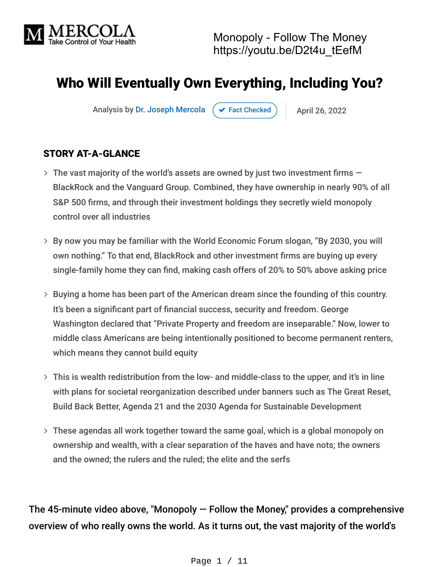

# Who Will Eventually Own Everything, Including You?

Analysis by [Dr. Joseph Mercola](https://www.mercola.com/forms/background.htm)  $\left( \right. \left. \left. \right. \right. \left. \left. \right. \left. \right. \left. \right. \left. \left. \right. \left. \right. \left. \right. \left. \right. \left. \left. \right. \right. \left. \left. \right. \right. \left. \left. \left. \right. \right. \left. \left. \left. \right. \right. \left. \left. \right. \right. \left. \left. \right. \right. \left. \left. \left. \right. \right. \left. \left. \right. \right. \left. \left. \right. \right. \left. \left.$ 

#### STORY AT-A-GLANCE

- $\rightarrow$  The vast majority of the world's assets are owned by just two investment firms  $-$ BlackRock and the Vanguard Group. Combined, they have ownership in nearly 90% of all S&P 500 firms, and through their investment holdings they secretly wield monopoly control over all industries
- By now you may be familiar with the World Economic Forum slogan, "By 2030, you will own nothing." To that end, BlackRock and other investment firms are buying up every single-family home they can find, making cash offers of 20% to 50% above asking price
- > Buying a home has been part of the American dream since the founding of this country. It's been a significant part of financial success, security and freedom. George Washington declared that "Private Property and freedom are inseparable." Now, lower to middle class Americans are being intentionally positioned to become permanent renters, which means they cannot build equity
- This is wealth redistribution from the low- and middle-class to the upper, and it's in line with plans for societal reorganization described under banners such as The Great Reset, Build Back Better, Agenda 21 and the 2030 Agenda for Sustainable Development
- These agendas all work together toward the same goal, which is a global monopoly on ownership and wealth, with a clear separation of the haves and have nots; the owners and the owned; the rulers and the ruled; the elite and the serfs

The 45-minute video above, "Monopoly — Follow the Money," provides a comprehensive overview of who really owns the world. As it turns out, the vast majority of the world's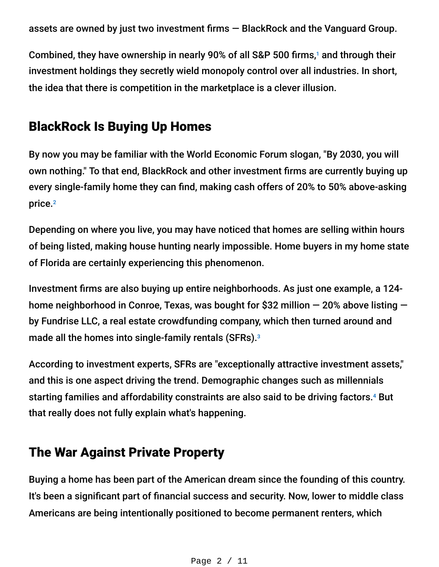assets are owned by just two investment firms — BlackRock and the Vanguard Group.

Combined, they have ownership in nearly 90% of all S&P 500 firms,<sup>1</sup> and through their investment holdings they secretly wield monopoly control over all industries. In short, the idea that there is competition in the marketplace is a clever illusion.

## BlackRock Is Buying Up Homes

By now you may be familiar with the World Economic Forum slogan, "By 2030, you will own nothing." To that end, BlackRock and other investment firms are currently buying up every single-family home they can find, making cash offers of 20% to 50% above-asking price. 2

Depending on where you live, you may have noticed that homes are selling within hours of being listed, making house hunting nearly impossible. Home buyers in my home state of Florida are certainly experiencing this phenomenon.

Investment firms are also buying up entire neighborhoods. As just one example, a 124 home neighborhood in Conroe, Texas, was bought for \$32 million — 20% above listing by Fundrise LLC, a real estate crowdfunding company, which then turned around and made all the homes into single-family rentals (SFRs). 3

According to investment experts, SFRs are "exceptionally attractive investment assets," and this is one aspect driving the trend. Demographic changes such as millennials starting families and affordability constraints are also said to be driving factors.<sup>4</sup> But that really does not fully explain what's happening.

### The War Against Private Property

Buying a home has been part of the American dream since the founding of this country. It's been a significant part of financial success and security. Now, lower to middle class Americans are being intentionally positioned to become permanent renters, which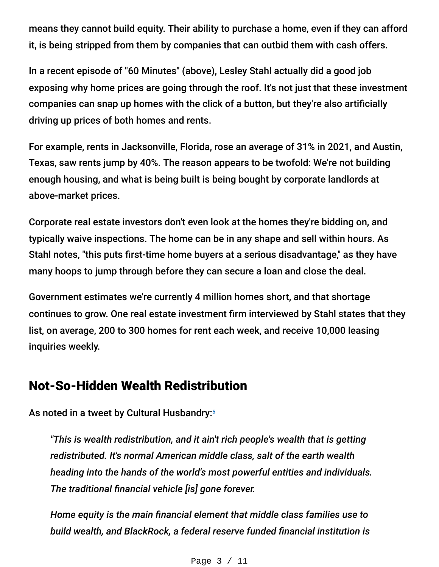means they cannot build equity. Their ability to purchase a home, even if they can afford it, is being stripped from them by companies that can outbid them with cash offers.

In a recent episode of "60 Minutes" (above), Lesley Stahl actually did a good job exposing why home prices are going through the roof. It's not just that these investment companies can snap up homes with the click of a button, but they're also artificially driving up prices of both homes and rents.

For example, rents in Jacksonville, Florida, rose an average of 31% in 2021, and Austin, Texas, saw rents jump by 40%. The reason appears to be twofold: We're not building enough housing, and what is being built is being bought by corporate landlords at above-market prices.

Corporate real estate investors don't even look at the homes they're bidding on, and typically waive inspections. The home can be in any shape and sell within hours. As Stahl notes, "this puts first-time home buyers at a serious disadvantage," as they have many hoops to jump through before they can secure a loan and close the deal.

Government estimates we're currently 4 million homes short, and that shortage continues to grow. One real estate investment firm interviewed by Stahl states that they list, on average, 200 to 300 homes for rent each week, and receive 10,000 leasing inquiries weekly.

### Not-So-Hidden Wealth Redistribution

As noted in a tweet by Cultural Husbandry: 5

*"This is wealth redistribution, and it ain't rich people's wealth that is getting redistributed. It's normal American middle class, salt of the earth wealth heading into the hands of the world's most powerful entities and individuals. The traditional financial vehicle [is] gone forever.*

*Home equity is the main financial element that middle class families use to build wealth, and BlackRock, a federal reserve funded financial institution is*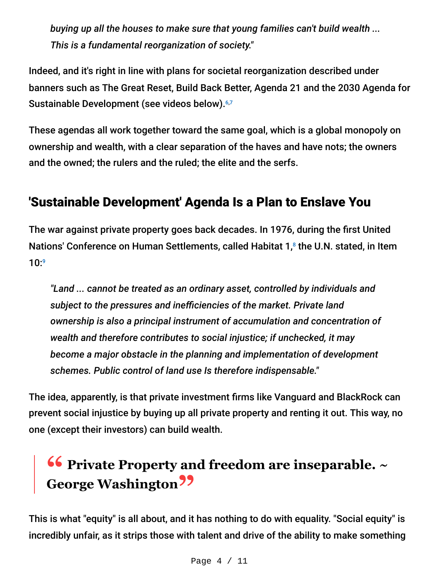*buying up all the houses to make sure that young families can't build wealth ... This is a fundamental reorganization of society."*

Indeed, and it's right in line with plans for societal reorganization described under banners such as The Great Reset, Build Back Better, Agenda 21 and the 2030 Agenda for Sustainable Development (see videos below).<sup>6,7</sup>

These agendas all work together toward the same goal, which is a global monopoly on ownership and wealth, with a clear separation of the haves and have nots; the owners and the owned; the rulers and the ruled; the elite and the serfs.

# 'Sustainable Development' Agenda Is a Plan to Enslave You

The war against private property goes back decades. In 1976, during the first United Nations' Conference on Human Settlements, called Habitat 1,<sup>8</sup> the U.N. stated, in Item 10: 9

*"Land ... cannot be treated as an ordinary asset, controlled by individuals and subject to the pressures and inefficiencies of the market. Private land ownership is also a principal instrument of accumulation and concentration of wealth and therefore contributes to social injustice; if unchecked, it may become a major obstacle in the planning and implementation of development schemes. Public control of land use Is therefore indispensable."*

The idea, apparently, is that private investment firms like Vanguard and BlackRock can prevent social injustice by buying up all private property and renting it out. This way, no one (except their investors) can build wealth.

# **16 Private Property and freedom are inseparable.** ~ **George Washington"**

This is what "equity" is all about, and it has nothing to do with equality. "Social equity" is incredibly unfair, as it strips those with talent and drive of the ability to make something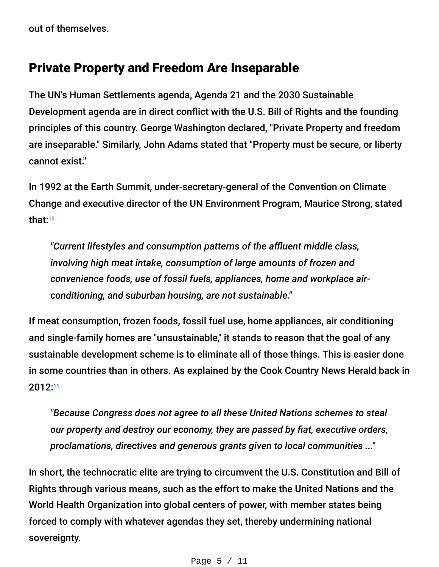out of themselves.

#### Private Property and Freedom Are Inseparable

The UN's Human Settlements agenda, Agenda 21 and the 2030 Sustainable Development agenda are in direct conflict with the U.S. Bill of Rights and the founding principles of this country. George Washington declared, "Private Property and freedom are inseparable." Similarly, John Adams stated that "Property must be secure, or liberty cannot exist."

In 1992 at the Earth Summit, under-secretary-general of the Convention on Climate Change and executive director of the UN Environment Program, Maurice Strong, stated that: 10

*"Current lifestyles and consumption patterns of the affluent middle class, involving high meat intake, consumption of large amounts of frozen and convenience foods, use of fossil fuels, appliances, home and workplace airconditioning, and suburban housing, are not sustainable."*

If meat consumption, frozen foods, fossil fuel use, home appliances, air conditioning and single-family homes are "unsustainable," it stands to reason that the goal of any sustainable development scheme is to eliminate all of those things. This is easier done in some countries than in others. As explained by the Cook Country News Herald back in 2012: 11

*"Because Congress does not agree to all these United Nations schemes to steal our property and destroy our economy, they are passed by fiat, executive orders, proclamations, directives and generous grants given to local communities ..."*

In short, the technocratic elite are trying to circumvent the U.S. Constitution and Bill of Rights through various means, such as the effort to make the United Nations and the World Health Organization into global centers of power, with member states being forced to comply with whatever agendas they set, thereby undermining national sovereignty.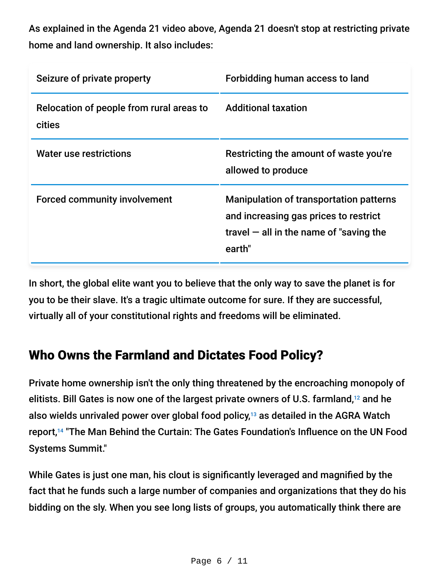As explained in the Agenda 21 video above, Agenda 21 doesn't stop at restricting private home and land ownership. It also includes:

| Seizure of private property                        | Forbidding human access to land                                                                                                                |
|----------------------------------------------------|------------------------------------------------------------------------------------------------------------------------------------------------|
| Relocation of people from rural areas to<br>cities | <b>Additional taxation</b>                                                                                                                     |
| <b>Water use restrictions</b>                      | Restricting the amount of waste you're<br>allowed to produce                                                                                   |
| <b>Forced community involvement</b>                | <b>Manipulation of transportation patterns</b><br>and increasing gas prices to restrict<br>travel $-$ all in the name of "saving the<br>earth" |

In short, the global elite want you to believe that the only way to save the planet is for you to be their slave. It's a tragic ultimate outcome for sure. If they are successful, virtually all of your constitutional rights and freedoms will be eliminated.

### Who Owns the Farmland and Dictates Food Policy?

Private home ownership isn't the only thing threatened by the encroaching monopoly of elitists. Bill Gates is now one of the largest private owners of U.S. farmland, $12$  and he also wields unrivaled power over global food policy, $13$  as detailed in the AGRA Watch report,<sup>14</sup> "The Man Behind the Curtain: The Gates Foundation's Influence on the UN Food Systems Summit."

While Gates is just one man, his clout is significantly leveraged and magnified by the fact that he funds such a large number of companies and organizations that they do his bidding on the sly. When you see long lists of groups, you automatically think there are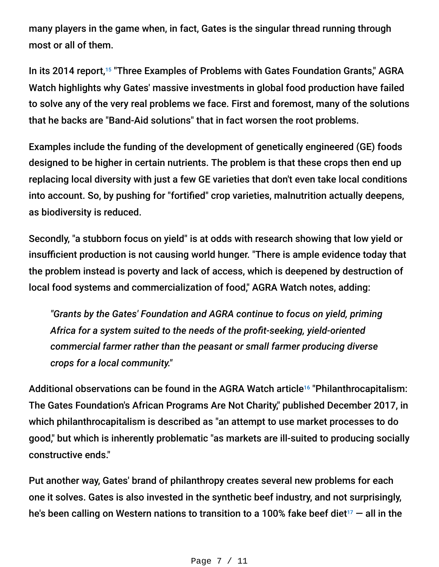many players in the game when, in fact, Gates is the singular thread running through most or all of them.

In its 2014 report,<sup>15</sup> "Three Examples of Problems with Gates Foundation Grants," AGRA Watch highlights why Gates' massive investments in global food production have failed to solve any of the very real problems we face. First and foremost, many of the solutions that he backs are "Band-Aid solutions" that in fact worsen the root problems.

Examples include the funding of the development of genetically engineered (GE) foods designed to be higher in certain nutrients. The problem is that these crops then end up replacing local diversity with just a few GE varieties that don't even take local conditions into account. So, by pushing for "fortified" crop varieties, malnutrition actually deepens, as biodiversity is reduced.

Secondly, "a stubborn focus on yield" is at odds with research showing that low yield or insufficient production is not causing world hunger. "There is ample evidence today that the problem instead is poverty and lack of access, which is deepened by destruction of local food systems and commercialization of food," AGRA Watch notes, adding:

*"Grants by the Gates' Foundation and AGRA continue to focus on yield, priming Africa for a system suited to the needs of the profit-seeking, yield-oriented commercial farmer rather than the peasant or small farmer producing diverse crops for a local community."*

Additional observations can be found in the AGRA Watch article<sup>16</sup> "Philanthrocapitalism: The Gates Foundation's African Programs Are Not Charity," published December 2017, in which philanthrocapitalism is described as "an attempt to use market processes to do good," but which is inherently problematic "as markets are ill-suited to producing socially constructive ends."

Put another way, Gates' brand of philanthropy creates several new problems for each one it solves. Gates is also invested in the synthetic beef industry, and not surprisingly, he's been calling on Western nations to transition to a 100% fake beef diet $^{_{17}}$  — all in the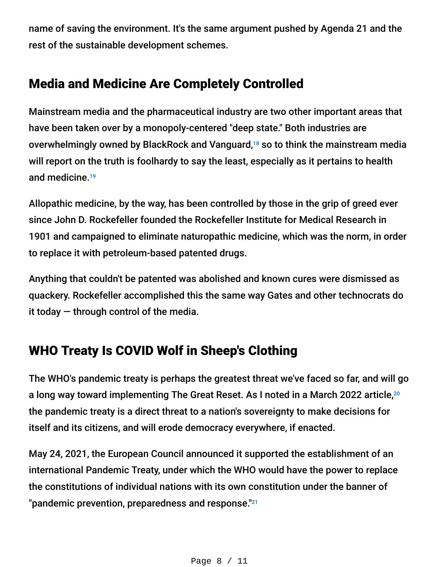name of saving the environment. It's the same argument pushed by Agenda 21 and the rest of the sustainable development schemes.

# Media and Medicine Are Completely Controlled

Mainstream media and the pharmaceutical industry are two other important areas that have been taken over by a monopoly-centered "deep state." Both industries are overwhelmingly owned by BlackRock and Vanguard,<sup>18</sup> so to think the mainstream media will report on the truth is foolhardy to say the least, especially as it pertains to health and medicine. 19

Allopathic medicine, by the way, has been controlled by those in the grip of greed ever since John D. Rockefeller founded the Rockefeller Institute for Medical Research in 1901 and campaigned to eliminate naturopathic medicine, which was the norm, in order to replace it with petroleum-based patented drugs.

Anything that couldn't be patented was abolished and known cures were dismissed as quackery. Rockefeller accomplished this the same way Gates and other technocrats do it today  $-$  through control of the media.

# WHO Treaty Is COVID Wolf in Sheep's Clothing

The WHO's pandemic treaty is perhaps the greatest threat we've faced so far, and will go a long way toward implementing The Great Reset. As I noted in a March 2022 article, 20 the pandemic treaty is a direct threat to a nation's sovereignty to make decisions for itself and its citizens, and will erode democracy everywhere, if enacted.

May 24, 2021, the European Council announced it supported the establishment of an international Pandemic Treaty, under which the WHO would have the power to replace the constitutions of individual nations with its own constitution under the banner of "pandemic prevention, preparedness and response."<sup>21</sup>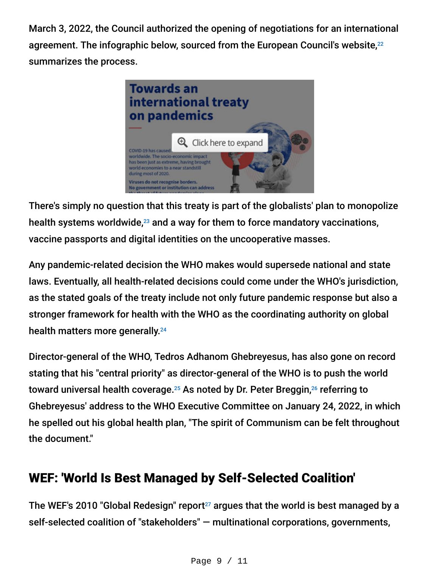March 3, 2022, the Council authorized the opening of negotiations for an international agreement. The infographic below, sourced from the European Council's website, 22 summarizes the process.



There's simply no question that this treaty is part of the globalists' plan to monopolize health systems worldwide, $^{23}$  and a way for them to force mandatory vaccinations, vaccine passports and digital identities on the uncooperative masses.

Any pandemic-related decision the WHO makes would supersede national and state laws. Eventually, all health-related decisions could come under the WHO's jurisdiction, as the stated goals of the treaty include not only future pandemic response but also a stronger framework for health with the WHO as the coordinating authority on global health matters more generally. 24

Director-general of the WHO, Tedros Adhanom Ghebreyesus, has also gone on record stating that his "central priority" as director-general of the WHO is to push the world toward universal health coverage. $^{25}$  As noted by Dr. Peter Breggin, $^{26}$  referring to Ghebreyesus' address to the WHO Executive Committee on January 24, 2022, in which he spelled out his global health plan, "The spirit of Communism can be felt throughout the document."

# WEF: 'World Is Best Managed by Self-Selected Coalition'

The WEF's 2010 "Global Redesign" report $^{27}$  argues that the world is best managed by a self-selected coalition of "stakeholders" — multinational corporations, governments,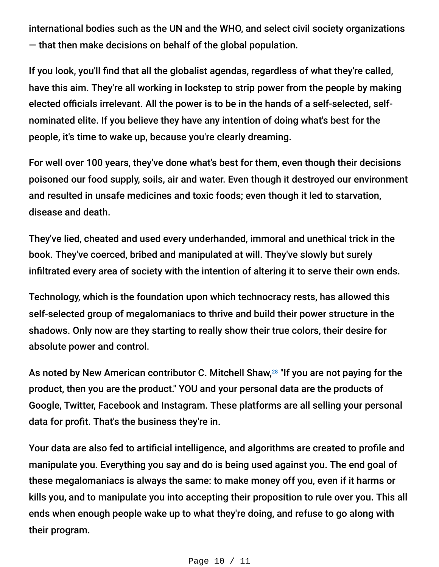international bodies such as the UN and the WHO, and select civil society organizations — that then make decisions on behalf of the global population.

If you look, you'll find that all the globalist agendas, regardless of what they're called, have this aim. They're all working in lockstep to strip power from the people by making elected officials irrelevant. All the power is to be in the hands of a self-selected, selfnominated elite. If you believe they have any intention of doing what's best for the people, it's time to wake up, because you're clearly dreaming.

For well over 100 years, they've done what's best for them, even though their decisions poisoned our food supply, soils, air and water. Even though it destroyed our environment and resulted in unsafe medicines and toxic foods; even though it led to starvation, disease and death.

They've lied, cheated and used every underhanded, immoral and unethical trick in the book. They've coerced, bribed and manipulated at will. They've slowly but surely infiltrated every area of society with the intention of altering it to serve their own ends.

Technology, which is the foundation upon which technocracy rests, has allowed this self-selected group of megalomaniacs to thrive and build their power structure in the shadows. Only now are they starting to really show their true colors, their desire for absolute power and control.

As noted by New American contributor C. Mitchell Shaw,<sup>28</sup> "If you are not paying for the product, then you are the product." YOU and your personal data are the products of Google, Twitter, Facebook and Instagram. These platforms are all selling your personal data for profit. That's the business they're in.

Your data are also fed to artificial intelligence, and algorithms are created to profile and manipulate you. Everything you say and do is being used against you. The end goal of these megalomaniacs is always the same: to make money off you, even if it harms or kills you, and to manipulate you into accepting their proposition to rule over you. This all ends when enough people wake up to what they're doing, and refuse to go along with their program.